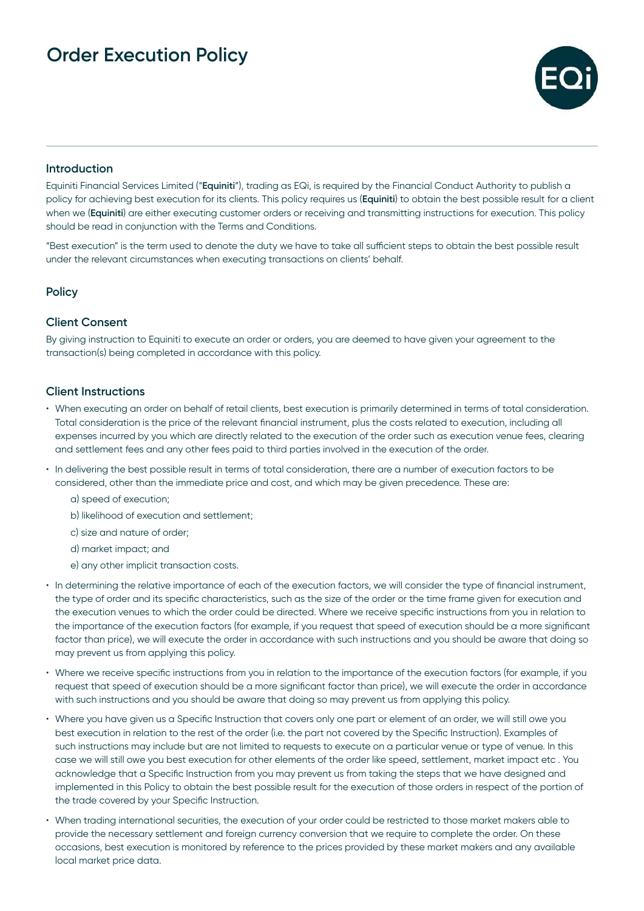

## **Introduction**

Equiniti Financial Services Limited ("**Equiniti**"), trading as EQi, is required by the Financial Conduct Authority to publish a policy for achieving best execution for its clients. This policy requires us (**Equiniti**) to obtain the best possible result for a client when we (**Equiniti**) are either executing customer orders or receiving and transmitting instructions for execution. This policy should be read in conjunction with the Terms and Conditions.

"Best execution" is the term used to denote the duty we have to take all sufficient steps to obtain the best possible result under the relevant circumstances when executing transactions on clients' behalf.

## **Policy**

### **Client Consent**

By giving instruction to Equiniti to execute an order or orders, you are deemed to have given your agreement to the transaction(s) being completed in accordance with this policy.

### **Client Instructions**

- When executing an order on behalf of retail clients, best execution is primarily determined in terms of total consideration. Total consideration is the price of the relevant financial instrument, plus the costs related to execution, including all expenses incurred by you which are directly related to the execution of the order such as execution venue fees, clearing and settlement fees and any other fees paid to third parties involved in the execution of the order.
- In delivering the best possible result in terms of total consideration, there are a number of execution factors to be considered, other than the immediate price and cost, and which may be given precedence. These are:
	- a) speed of execution;
	- b) likelihood of execution and settlement;
	- c) size and nature of order;
	- d) market impact; and
	- e) any other implicit transaction costs.
- In determining the relative importance of each of the execution factors, we will consider the type of financial instrument, the type of order and its specific characteristics, such as the size of the order or the time frame given for execution and the execution venues to which the order could be directed. Where we receive specific instructions from you in relation to the importance of the execution factors (for example, if you request that speed of execution should be a more significant factor than price), we will execute the order in accordance with such instructions and you should be aware that doing so may prevent us from applying this policy.
- Where we receive specific instructions from you in relation to the importance of the execution factors (for example, if you request that speed of execution should be a more significant factor than price), we will execute the order in accordance with such instructions and you should be aware that doing so may prevent us from applying this policy.
- Where you have given us a Specific Instruction that covers only one part or element of an order, we will still owe you best execution in relation to the rest of the order (i.e. the part not covered by the Specific Instruction). Examples of such instructions may include but are not limited to requests to execute on a particular venue or type of venue. In this case we will still owe you best execution for other elements of the order like speed, settlement, market impact etc . You acknowledge that a Specific Instruction from you may prevent us from taking the steps that we have designed and implemented in this Policy to obtain the best possible result for the execution of those orders in respect of the portion of the trade covered by your Specific Instruction.
- When trading international securities, the execution of your order could be restricted to those market makers able to provide the necessary settlement and foreign currency conversion that we require to complete the order. On these occasions, best execution is monitored by reference to the prices provided by these market makers and any available local market price data.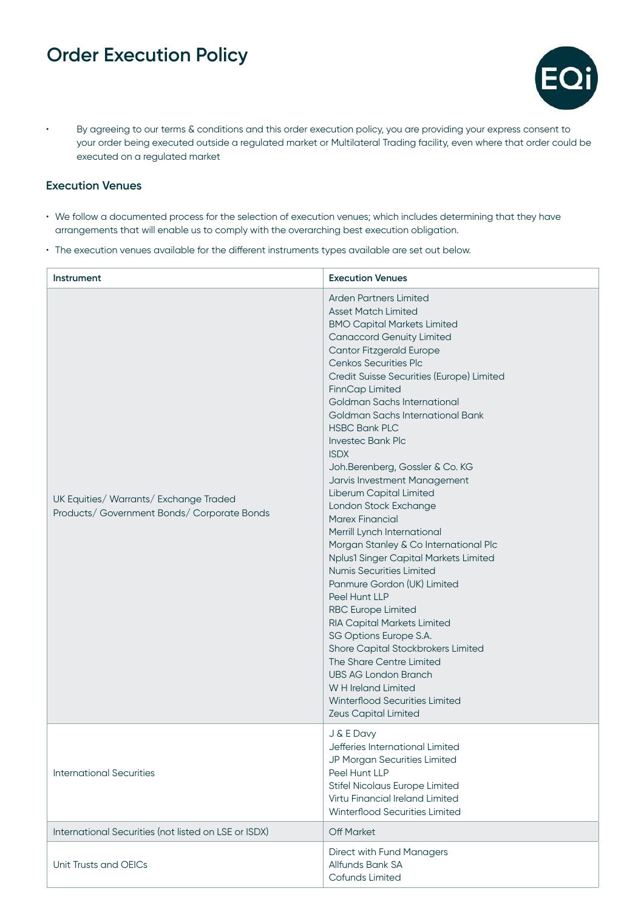

• By agreeing to our terms & conditions and this order execution policy, you are providing your express consent to your order being executed outside a regulated market or Multilateral Trading facility, even where that order could be executed on a regulated market

## **Execution Venues**

- We follow a documented process for the selection of execution venues; which includes determining that they have arrangements that will enable us to comply with the overarching best execution obligation.
- The execution venues available for the different instruments types available are set out below.

| <b>Instrument</b>                                                                     | <b>Execution Venues</b>                                                                                                                                                                                                                                                                                                                                                                                                                                                                                                                                                                                                                                                                                                                                                                                                                                                                                                                                                                                                                                          |
|---------------------------------------------------------------------------------------|------------------------------------------------------------------------------------------------------------------------------------------------------------------------------------------------------------------------------------------------------------------------------------------------------------------------------------------------------------------------------------------------------------------------------------------------------------------------------------------------------------------------------------------------------------------------------------------------------------------------------------------------------------------------------------------------------------------------------------------------------------------------------------------------------------------------------------------------------------------------------------------------------------------------------------------------------------------------------------------------------------------------------------------------------------------|
| UK Equities/ Warrants/ Exchange Traded<br>Products/ Government Bonds/ Corporate Bonds | <b>Arden Partners Limited</b><br><b>Asset Match Limited</b><br><b>BMO Capital Markets Limited</b><br><b>Canaccord Genuity Limited</b><br><b>Cantor Fitzgerald Europe</b><br><b>Cenkos Securities Plc</b><br>Credit Suisse Securities (Europe) Limited<br>FinnCap Limited<br>Goldman Sachs International<br>Goldman Sachs International Bank<br><b>HSBC Bank PLC</b><br><b>Investec Bank Plc</b><br><b>ISDX</b><br>Joh.Berenberg, Gossler & Co. KG<br>Jarvis Investment Management<br>Liberum Capital Limited<br>London Stock Exchange<br><b>Marex Financial</b><br>Merrill Lynch International<br>Morgan Stanley & Co International Plc<br>Nplus1 Singer Capital Markets Limited<br><b>Numis Securities Limited</b><br>Panmure Gordon (UK) Limited<br>Peel Hunt LLP<br><b>RBC Europe Limited</b><br><b>RIA Capital Markets Limited</b><br>SG Options Europe S.A.<br>Shore Capital Stockbrokers Limited<br>The Share Centre Limited<br><b>UBS AG London Branch</b><br>W H Ireland Limited<br><b>Winterflood Securities Limited</b><br><b>Zeus Capital Limited</b> |
| <b>International Securities</b>                                                       | J & E Davy<br>Jefferies International Limited<br>JP Morgan Securities Limited<br>Peel Hunt LLP<br><b>Stifel Nicolaus Europe Limited</b><br>Virtu Financial Ireland Limited<br>Winterflood Securities Limited                                                                                                                                                                                                                                                                                                                                                                                                                                                                                                                                                                                                                                                                                                                                                                                                                                                     |
| International Securities (not listed on LSE or ISDX)                                  | <b>Off Market</b>                                                                                                                                                                                                                                                                                                                                                                                                                                                                                                                                                                                                                                                                                                                                                                                                                                                                                                                                                                                                                                                |
| Unit Trusts and OEICs                                                                 | <b>Direct with Fund Managers</b><br>Allfunds Bank SA<br>Cofunds Limited                                                                                                                                                                                                                                                                                                                                                                                                                                                                                                                                                                                                                                                                                                                                                                                                                                                                                                                                                                                          |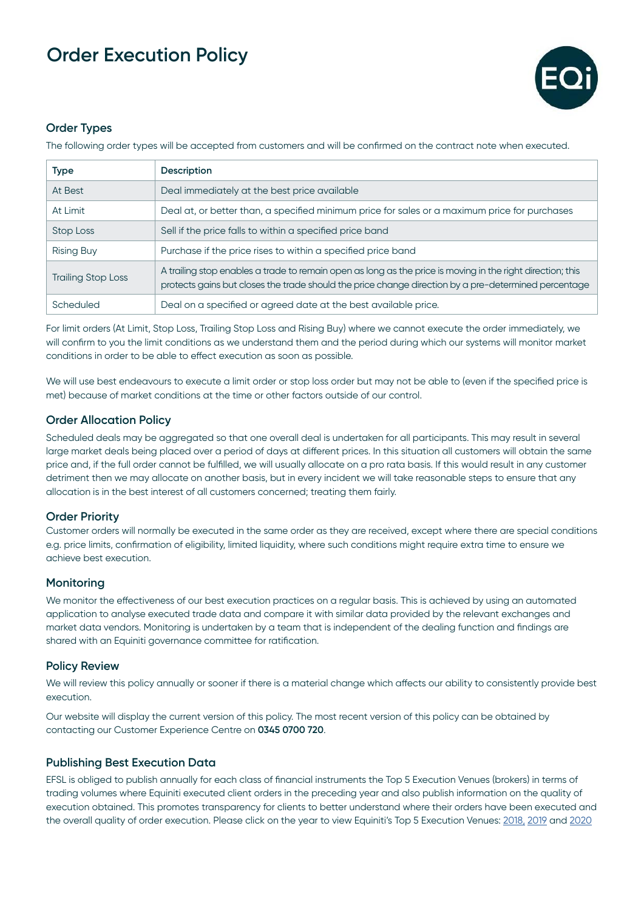

### **Order Types**

The following order types will be accepted from customers and will be confirmed on the contract note when executed.

| <b>Type</b>               | Description                                                                                                                                                                                                        |
|---------------------------|--------------------------------------------------------------------------------------------------------------------------------------------------------------------------------------------------------------------|
| At Best                   | Deal immediately at the best price available                                                                                                                                                                       |
| At Limit                  | Deal at, or better than, a specified minimum price for sales or a maximum price for purchases                                                                                                                      |
| Stop Loss                 | Sell if the price falls to within a specified price band                                                                                                                                                           |
| <b>Rising Buy</b>         | Purchase if the price rises to within a specified price band                                                                                                                                                       |
| <b>Trailing Stop Loss</b> | A trailing stop enables a trade to remain open as long as the price is moving in the right direction; this<br>protects gains but closes the trade should the price change direction by a pre-determined percentage |
| Scheduled                 | Deal on a specified or agreed date at the best available price.                                                                                                                                                    |

For limit orders (At Limit, Stop Loss, Trailing Stop Loss and Rising Buy) where we cannot execute the order immediately, we will confirm to you the limit conditions as we understand them and the period during which our systems will monitor market conditions in order to be able to effect execution as soon as possible.

We will use best endeavours to execute a limit order or stop loss order but may not be able to (even if the specified price is met) because of market conditions at the time or other factors outside of our control.

## **Order Allocation Policy**

Scheduled deals may be aggregated so that one overall deal is undertaken for all participants. This may result in several large market deals being placed over a period of days at different prices. In this situation all customers will obtain the same price and, if the full order cannot be fulfilled, we will usually allocate on a pro rata basis. If this would result in any customer detriment then we may allocate on another basis, but in every incident we will take reasonable steps to ensure that any allocation is in the best interest of all customers concerned; treating them fairly.

### **Order Priority**

Customer orders will normally be executed in the same order as they are received, except where there are special conditions e.g. price limits, confirmation of eligibility, limited liquidity, where such conditions might require extra time to ensure we achieve best execution.

### **Monitoring**

We monitor the effectiveness of our best execution practices on a regular basis. This is achieved by using an automated application to analyse executed trade data and compare it with similar data provided by the relevant exchanges and market data vendors. Monitoring is undertaken by a team that is independent of the dealing function and findings are shared with an Equiniti governance committee for ratification.

### **Policy Review**

We will review this policy annually or sooner if there is a material change which affects our ability to consistently provide best execution.

Our website will display the current version of this policy. The most recent version of this policy can be obtained by contacting our Customer Experience Centre on **0345 0700 720**.

## **Publishing Best Execution Data**

EFSL is obliged to publish annually for each class of financial instruments the Top 5 Execution Venues (brokers) in terms of trading volumes where Equiniti executed client orders in the preceding year and also publish information on the quality of execution obtained. This promotes transparency for clients to better understand where their orders have been executed and the overall quality of order execution. Please click on the year to view Equiniti's Top 5 Execution Venues: [2018](https://eqi.co.uk/media/3017/efsl-execution-order-top-5-venues-2018.pdf), [2019](https://eqi.co.uk/media/3018/efsl-execution-order-top-5-venues-2019.pdf) and [2020](http://eqi.co.uk/media/3340/efsl-execution-order-top-5-venues-2020.pdf)